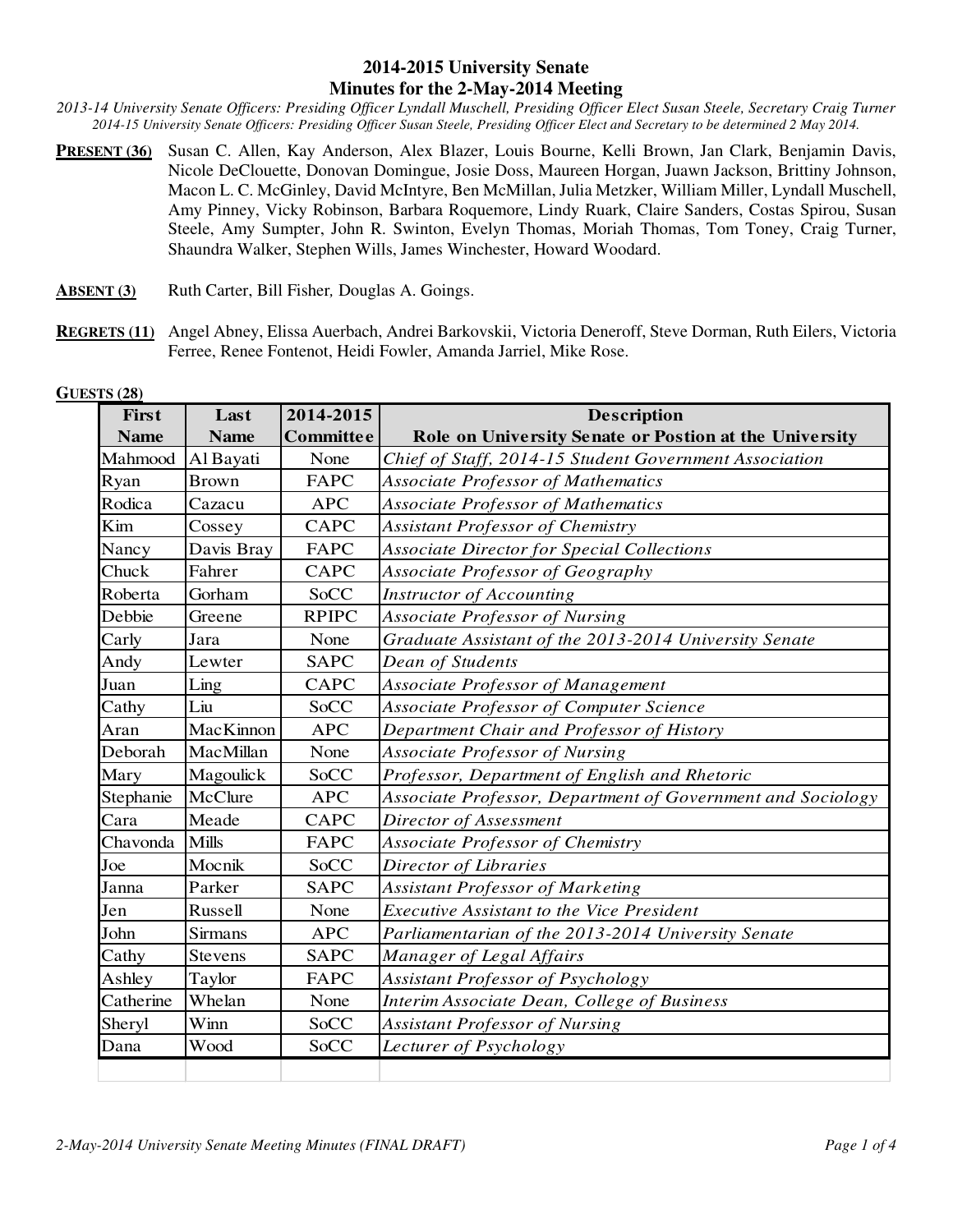## **2014-2015 University Senate Minutes for the 2-May-2014 Meeting**

*2013-14 University Senate Officers: Presiding Officer Lyndall Muschell, Presiding Officer Elect Susan Steele, Secretary Craig Turner 2014-15 University Senate Officers: Presiding Officer Susan Steele, Presiding Officer Elect and Secretary to be determined 2 May 2014.* 

- **PRESENT (36)** Susan C. Allen, Kay Anderson, Alex Blazer, Louis Bourne, Kelli Brown, Jan Clark, Benjamin Davis, Nicole DeClouette, Donovan Domingue, Josie Doss, Maureen Horgan, Juawn Jackson, Brittiny Johnson, Macon L. C. McGinley, David McIntyre, Ben McMillan, Julia Metzker, William Miller, Lyndall Muschell, Amy Pinney, Vicky Robinson, Barbara Roquemore, Lindy Ruark, Claire Sanders, Costas Spirou, Susan Steele, Amy Sumpter, John R. Swinton, Evelyn Thomas, Moriah Thomas, Tom Toney, Craig Turner, Shaundra Walker, Stephen Wills, James Winchester, Howard Woodard.
- **ABSENT (3)** Ruth Carter, Bill Fisher*,* Douglas A. Goings.
- **REGRETS (11)** Angel Abney, Elissa Auerbach, Andrei Barkovskii, Victoria Deneroff, Steve Dorman, Ruth Eilers, Victoria Ferree, Renee Fontenot, Heidi Fowler, Amanda Jarriel, Mike Rose.

| First       | Last         | 2014-2015        | <b>Description</b>                                          |  |
|-------------|--------------|------------------|-------------------------------------------------------------|--|
| <b>Name</b> | <b>Name</b>  | <b>Committee</b> | Role on University Senate or Postion at the University      |  |
| Mahmood     | Al Bayati    | None             | Chief of Staff, 2014-15 Student Government Association      |  |
| Ryan        | <b>Brown</b> | <b>FAPC</b>      | <b>Associate Professor of Mathematics</b>                   |  |
| Rodica      | Cazacu       | <b>APC</b>       | Associate Professor of Mathematics                          |  |
| Kim         | Cossey       | <b>CAPC</b>      | <b>Assistant Professor of Chemistry</b>                     |  |
| Nancy       | Davis Bray   | FAPC             | <b>Associate Director for Special Collections</b>           |  |
| Chuck       | Fahrer       | <b>CAPC</b>      | Associate Professor of Geography                            |  |
| Roberta     | Gorham       | SoCC             | <b>Instructor of Accounting</b>                             |  |
| Debbie      | Greene       | <b>RPIPC</b>     | <b>Associate Professor of Nursing</b>                       |  |
| Carly       | Jara         | None             | Graduate Assistant of the 2013-2014 University Senate       |  |
| Andy        | Lewter       | <b>SAPC</b>      | <b>Dean of Students</b>                                     |  |
| Juan        | Ling         | CAPC             | Associate Professor of Management                           |  |
| Cathy       | Liu          | SoCC             | Associate Professor of Computer Science                     |  |
| Aran        | MacKinnon    | <b>APC</b>       | Department Chair and Professor of History                   |  |
| Deborah     | MacMillan    | None             | <b>Associate Professor of Nursing</b>                       |  |
| Mary        | Magoulick    | SoCC             | Professor, Department of English and Rhetoric               |  |
| Stephanie   | McClure      | <b>APC</b>       | Associate Professor, Department of Government and Sociology |  |
| Cara        | Meade        | <b>CAPC</b>      | Director of Assessment                                      |  |
| Chavonda    | <b>Mills</b> | FAPC             | <b>Associate Professor of Chemistry</b>                     |  |
| Joe         | Mocnik       | SoCC             | Director of Libraries                                       |  |
| Janna       | Parker       | <b>SAPC</b>      | <b>Assistant Professor of Marketing</b>                     |  |
| Jen         | Russell      | None             | <b>Executive Assistant to the Vice President</b>            |  |
| John        | Sirmans      | <b>APC</b>       | Parliamentarian of the 2013-2014 University Senate          |  |
| Cathy       | Stevens      | <b>SAPC</b>      | Manager of Legal Affairs                                    |  |
| Ashley      | Taylor       | <b>FAPC</b>      | Assistant Professor of Psychology                           |  |
| Catherine   | Whelan       | None             | Interim Associate Dean, College of Business                 |  |
| Sheryl      | Winn         | SoCC             | <b>Assistant Professor of Nursing</b>                       |  |
| Dana        | Wood         | SoCC             | Lecturer of Psychology                                      |  |
|             |              |                  |                                                             |  |

**GUESTS (28)**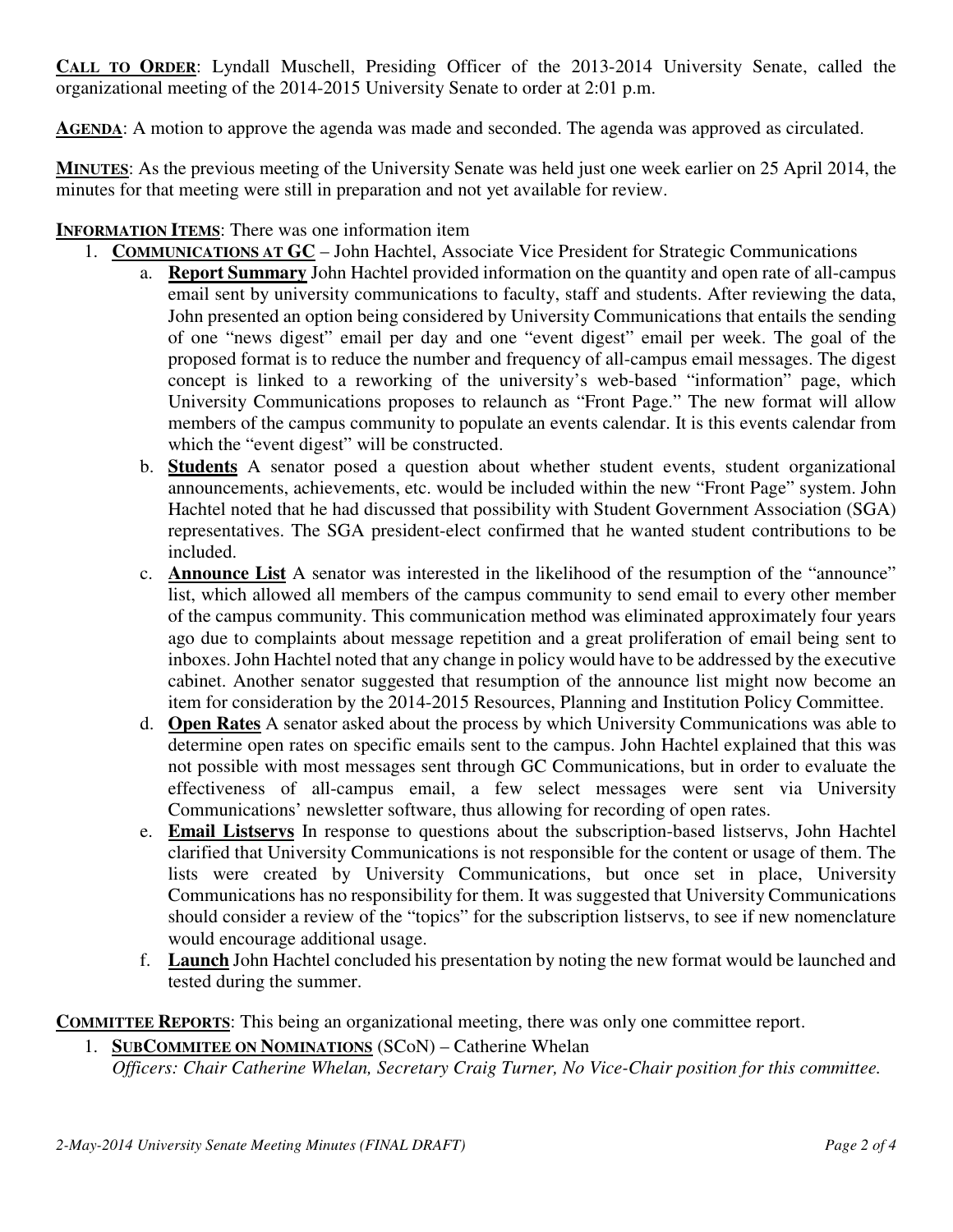**CALL TO ORDER**: Lyndall Muschell, Presiding Officer of the 2013-2014 University Senate, called the organizational meeting of the 2014-2015 University Senate to order at 2:01 p.m.

**AGENDA**: A motion to approve the agenda was made and seconded. The agenda was approved as circulated.

**MINUTES**: As the previous meeting of the University Senate was held just one week earlier on 25 April 2014, the minutes for that meeting were still in preparation and not yet available for review.

## **INFORMATION ITEMS**: There was one information item

- 1. **COMMUNICATIONS AT GC** John Hachtel, Associate Vice President for Strategic Communications
	- a. **Report Summary** John Hachtel provided information on the quantity and open rate of all-campus email sent by university communications to faculty, staff and students. After reviewing the data, John presented an option being considered by University Communications that entails the sending of one "news digest" email per day and one "event digest" email per week. The goal of the proposed format is to reduce the number and frequency of all-campus email messages. The digest concept is linked to a reworking of the university's web-based "information" page, which University Communications proposes to relaunch as "Front Page." The new format will allow members of the campus community to populate an events calendar. It is this events calendar from which the "event digest" will be constructed.
	- b. **Students** A senator posed a question about whether student events, student organizational announcements, achievements, etc. would be included within the new "Front Page" system. John Hachtel noted that he had discussed that possibility with Student Government Association (SGA) representatives. The SGA president-elect confirmed that he wanted student contributions to be included.
	- c. **Announce List** A senator was interested in the likelihood of the resumption of the "announce" list, which allowed all members of the campus community to send email to every other member of the campus community. This communication method was eliminated approximately four years ago due to complaints about message repetition and a great proliferation of email being sent to inboxes. John Hachtel noted that any change in policy would have to be addressed by the executive cabinet. Another senator suggested that resumption of the announce list might now become an item for consideration by the 2014-2015 Resources, Planning and Institution Policy Committee.
	- d. **Open Rates** A senator asked about the process by which University Communications was able to determine open rates on specific emails sent to the campus. John Hachtel explained that this was not possible with most messages sent through GC Communications, but in order to evaluate the effectiveness of all-campus email, a few select messages were sent via University Communications' newsletter software, thus allowing for recording of open rates.
	- e. **Email Listservs** In response to questions about the subscription-based listservs, John Hachtel clarified that University Communications is not responsible for the content or usage of them. The lists were created by University Communications, but once set in place, University Communications has no responsibility for them. It was suggested that University Communications should consider a review of the "topics" for the subscription listservs, to see if new nomenclature would encourage additional usage.
	- f. **Launch** John Hachtel concluded his presentation by noting the new format would be launched and tested during the summer.

**COMMITTEE REPORTS**: This being an organizational meeting, there was only one committee report.

1. **SUBCOMMITEE ON NOMINATIONS** (SCoN) – Catherine Whelan *Officers: Chair Catherine Whelan, Secretary Craig Turner, No Vice-Chair position for this committee.*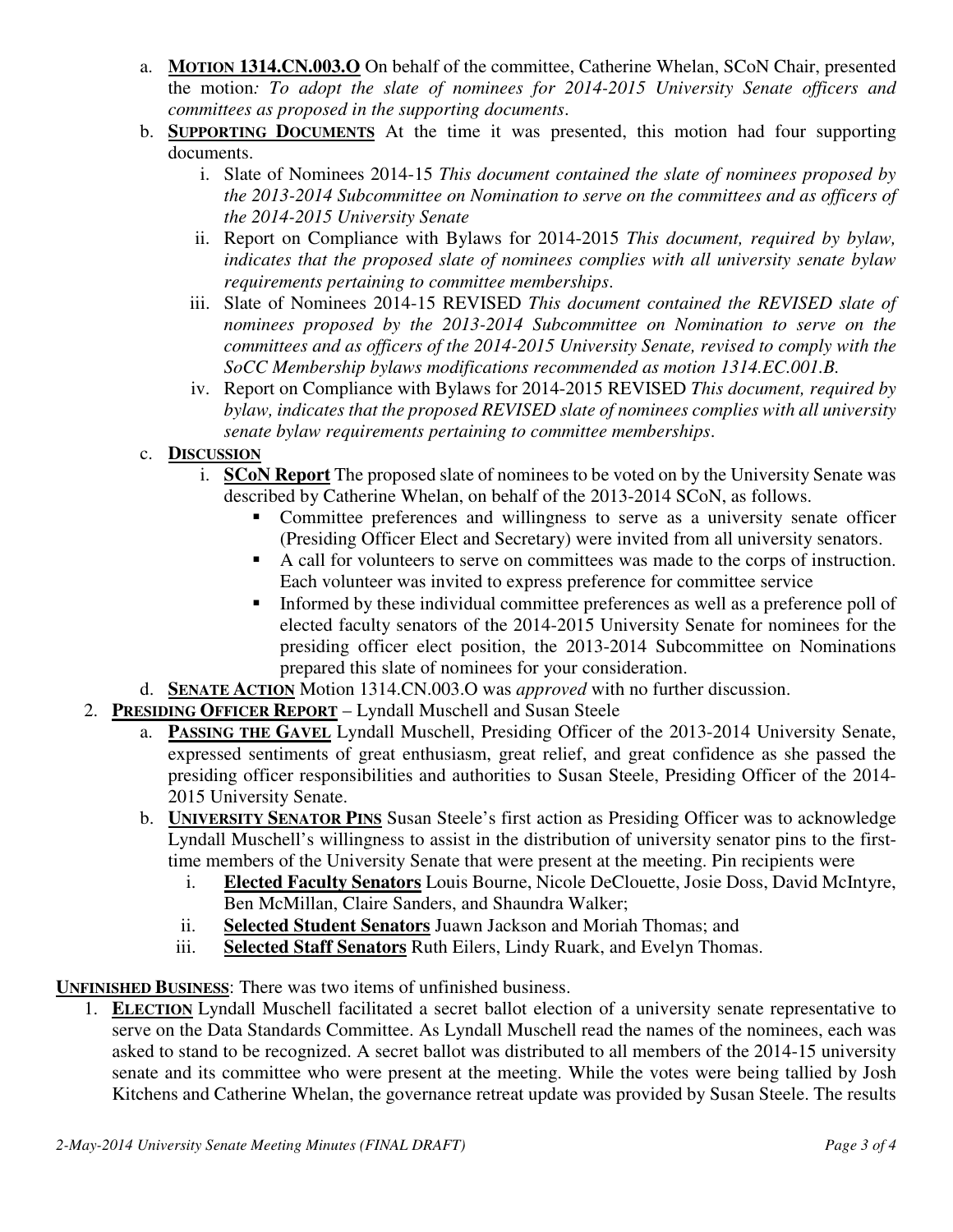- a. **MOTION 1314.CN.003.O** On behalf of the committee, Catherine Whelan, SCoN Chair, presented the motion*: To adopt the slate of nominees for 2014-2015 University Senate officers and committees as proposed in the supporting documents*.
- b. **SUPPORTING DOCUMENTS** At the time it was presented, this motion had four supporting documents.
	- i. Slate of Nominees 2014-15 *This document contained the slate of nominees proposed by the 2013-2014 Subcommittee on Nomination to serve on the committees and as officers of the 2014-2015 University Senate*
	- ii. Report on Compliance with Bylaws for 2014-2015 *This document, required by bylaw, indicates that the proposed slate of nominees complies with all university senate bylaw requirements pertaining to committee memberships*.
	- iii. Slate of Nominees 2014-15 REVISED *This document contained the REVISED slate of nominees proposed by the 2013-2014 Subcommittee on Nomination to serve on the committees and as officers of the 2014-2015 University Senate, revised to comply with the SoCC Membership bylaws modifications recommended as motion 1314.EC.001.B.*
	- iv. Report on Compliance with Bylaws for 2014-2015 REVISED *This document, required by bylaw, indicates that the proposed REVISED slate of nominees complies with all university senate bylaw requirements pertaining to committee memberships*.

## c. **DISCUSSION**

- i. **SCoN Report** The proposed slate of nominees to be voted on by the University Senate was described by Catherine Whelan, on behalf of the 2013-2014 SCoN, as follows.
	- Committee preferences and willingness to serve as a university senate officer (Presiding Officer Elect and Secretary) were invited from all university senators.
	- A call for volunteers to serve on committees was made to the corps of instruction. Each volunteer was invited to express preference for committee service
	- Informed by these individual committee preferences as well as a preference poll of elected faculty senators of the 2014-2015 University Senate for nominees for the presiding officer elect position, the 2013-2014 Subcommittee on Nominations prepared this slate of nominees for your consideration.
- d. **SENATE ACTION** Motion 1314.CN.003.O was *approved* with no further discussion.
- 2. **PRESIDING OFFICER REPORT** Lyndall Muschell and Susan Steele
	- a. **PASSING THE GAVEL** Lyndall Muschell, Presiding Officer of the 2013-2014 University Senate, expressed sentiments of great enthusiasm, great relief, and great confidence as she passed the presiding officer responsibilities and authorities to Susan Steele, Presiding Officer of the 2014- 2015 University Senate.
	- b. **UNIVERSITY SENATOR PINS** Susan Steele's first action as Presiding Officer was to acknowledge Lyndall Muschell's willingness to assist in the distribution of university senator pins to the firsttime members of the University Senate that were present at the meeting. Pin recipients were
		- i. **Elected Faculty Senators** Louis Bourne, Nicole DeClouette, Josie Doss, David McIntyre, Ben McMillan, Claire Sanders, and Shaundra Walker;
		- ii. **Selected Student Senators** Juawn Jackson and Moriah Thomas; and
		- iii. **Selected Staff Senators** Ruth Eilers, Lindy Ruark, and Evelyn Thomas.

**UNFINISHED BUSINESS**: There was two items of unfinished business.

1. **ELECTION** Lyndall Muschell facilitated a secret ballot election of a university senate representative to serve on the Data Standards Committee. As Lyndall Muschell read the names of the nominees, each was asked to stand to be recognized. A secret ballot was distributed to all members of the 2014-15 university senate and its committee who were present at the meeting. While the votes were being tallied by Josh Kitchens and Catherine Whelan, the governance retreat update was provided by Susan Steele. The results